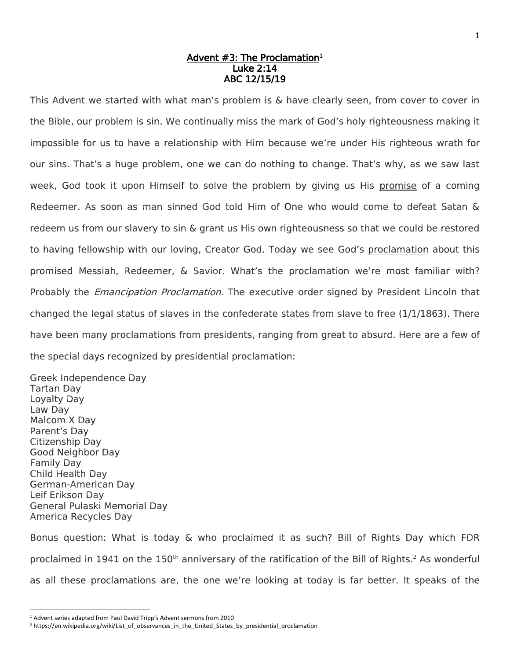## Advent #3: The Proclamation<sup>1</sup> Luke 2:14 ABC 12/15/19

This Advent we started with what man's problem is & have clearly seen, from cover to cover in the Bible, our problem is sin. We continually miss the mark of God's holy righteousness making it impossible for us to have a relationship with Him because we're under His righteous wrath for our sins. That's a huge problem, one we can do nothing to change. That's why, as we saw last week, God took it upon Himself to solve the problem by giving us His promise of a coming Redeemer. As soon as man sinned God told Him of One who would come to defeat Satan & redeem us from our slavery to sin & grant us His own righteousness so that we could be restored to having fellowship with our loving, Creator God. Today we see God's proclamation about this promised Messiah, Redeemer, & Savior. What's the proclamation we're most familiar with? Probably the *Emancipation Proclamation*. The executive order signed by President Lincoln that changed the legal status of slaves in the confederate states from slave to free (1/1/1863). There have been many proclamations from presidents, ranging from great to absurd. Here are a few of the special days recognized by presidential proclamation:

Greek Independence Day Tartan Day Loyalty Day Law Day Malcom X Day Parent's Day Citizenship Day Good Neighbor Day Family Day Child Health Day German-American Day Leif Erikson Day General Pulaski Memorial Day America Recycles Day

 $\overline{\phantom{a}}$ 

Bonus question: What is today & who proclaimed it as such? Bill of Rights Day which FDR proclaimed in 1941 on the  $150<sup>th</sup>$  anniversary of the ratification of the Bill of Rights.<sup>2</sup> As wonderful as all these proclamations are, the one we're looking at today is far better. It speaks of the

<sup>1</sup> Advent series adapted from Paul David Tripp's Advent sermons from 2010

<sup>2</sup> https://en.wikipedia.org/wiki/List\_of\_observances\_in\_the\_United\_States\_by\_presidential\_proclamation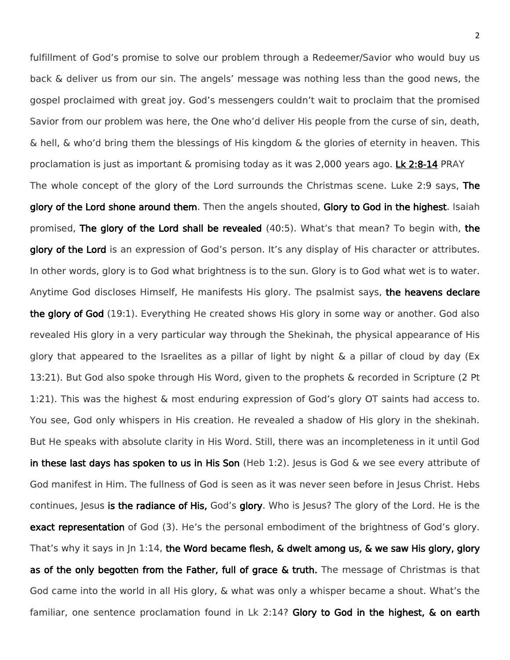fulfillment of God's promise to solve our problem through a Redeemer/Savior who would buy us back & deliver us from our sin. The angels' message was nothing less than the good news, the gospel proclaimed with great joy. God's messengers couldn't wait to proclaim that the promised Savior from our problem was here, the One who'd deliver His people from the curse of sin, death, & hell, & who'd bring them the blessings of His kingdom & the glories of eternity in heaven. This proclamation is just as important & promising today as it was 2,000 years ago. Lk 2:8-14 PRAY The whole concept of the glory of the Lord surrounds the Christmas scene. Luke 2:9 says, The glory of the Lord shone around them. Then the angels shouted, Glory to God in the highest. Isaiah promised, The glory of the Lord shall be revealed (40:5). What's that mean? To begin with, the glory of the Lord is an expression of God's person. It's any display of His character or attributes. In other words, glory is to God what brightness is to the sun. Glory is to God what wet is to water. Anytime God discloses Himself, He manifests His glory. The psalmist says, the heavens declare the glory of God (19:1). Everything He created shows His glory in some way or another. God also revealed His glory in a very particular way through the Shekinah, the physical appearance of His glory that appeared to the Israelites as a pillar of light by night  $\&$  a pillar of cloud by day (Ex 13:21). But God also spoke through His Word, given to the prophets & recorded in Scripture (2 Pt 1:21). This was the highest & most enduring expression of God's glory OT saints had access to. You see, God only whispers in His creation. He revealed a shadow of His glory in the shekinah. But He speaks with absolute clarity in His Word. Still, there was an incompleteness in it until God in these last days has spoken to us in His Son (Heb 1:2). Jesus is God & we see every attribute of God manifest in Him. The fullness of God is seen as it was never seen before in Jesus Christ. Hebs continues, Jesus is the radiance of His, God's glory. Who is Jesus? The glory of the Lord. He is the exact representation of God (3). He's the personal embodiment of the brightness of God's glory. That's why it says in Jn 1:14, the Word became flesh,  $\&$  dwelt among us,  $\&$  we saw His glory, glory as of the only begotten from the Father, full of grace & truth. The message of Christmas is that God came into the world in all His glory, & what was only a whisper became a shout. What's the familiar, one sentence proclamation found in Lk 2:14? Glory to God in the highest, & on earth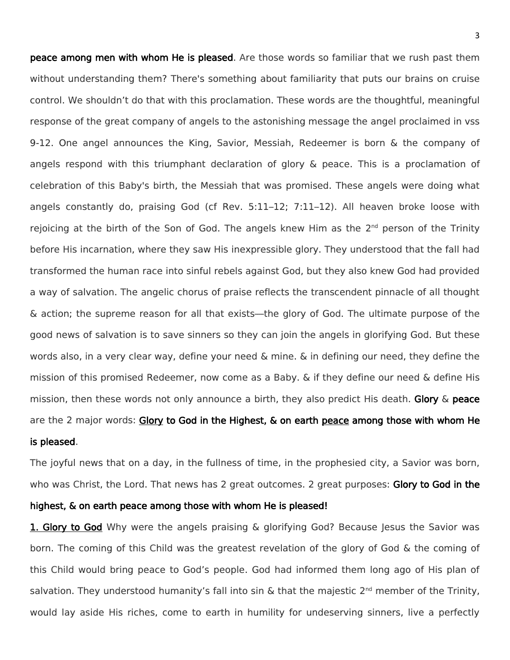peace among men with whom He is pleased. Are those words so familiar that we rush past them without understanding them? There's something about familiarity that puts our brains on cruise control. We shouldn't do that with this proclamation. These words are the thoughtful, meaningful response of the great company of angels to the astonishing message the angel proclaimed in vss 9-12. One angel announces the King, Savior, Messiah, Redeemer is born & the company of angels respond with this triumphant declaration of glory & peace. This is a proclamation of celebration of this Baby's birth, the Messiah that was promised. These angels were doing what angels constantly do, praising God (cf Rev. 5:11–12; 7:11–12). All heaven broke loose with rejoicing at the birth of the Son of God. The angels knew Him as the  $2<sup>nd</sup>$  person of the Trinity before His incarnation, where they saw His inexpressible glory. They understood that the fall had transformed the human race into sinful rebels against God, but they also knew God had provided a way of salvation. The angelic chorus of praise reflects the transcendent pinnacle of all thought & action; the supreme reason for all that exists—the glory of God. The ultimate purpose of the good news of salvation is to save sinners so they can join the angels in glorifying God. But these words also, in a very clear way, define your need & mine. & in defining our need, they define the mission of this promised Redeemer, now come as a Baby. & if they define our need & define His mission, then these words not only announce a birth, they also predict His death. Glory  $\&$  peace are the 2 major words: Glory to God in the Highest, & on earth peace among those with whom He is pleased.

The joyful news that on a day, in the fullness of time, in the prophesied city, a Savior was born, who was Christ, the Lord. That news has 2 great outcomes. 2 great purposes: Glory to God in the

## highest, & on earth peace among those with whom He is pleased!

1. Glory to God Why were the angels praising & glorifying God? Because Jesus the Savior was born. The coming of this Child was the greatest revelation of the glory of God & the coming of this Child would bring peace to God's people. God had informed them long ago of His plan of salvation. They understood humanity's fall into sin & that the majestic 2<sup>nd</sup> member of the Trinity, would lay aside His riches, come to earth in humility for undeserving sinners, live a perfectly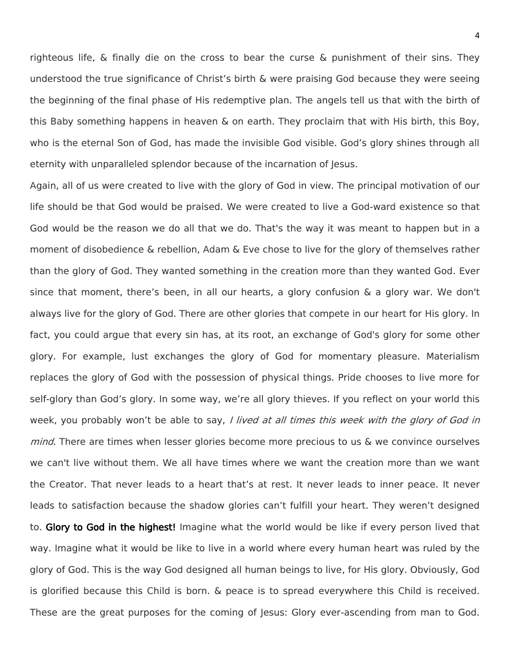righteous life, & finally die on the cross to bear the curse & punishment of their sins. They understood the true significance of Christ's birth & were praising God because they were seeing the beginning of the final phase of His redemptive plan. The angels tell us that with the birth of this Baby something happens in heaven & on earth. They proclaim that with His birth, this Boy, who is the eternal Son of God, has made the invisible God visible. God's glory shines through all eternity with unparalleled splendor because of the incarnation of Jesus.

Again, all of us were created to live with the glory of God in view. The principal motivation of our life should be that God would be praised. We were created to live a God-ward existence so that God would be the reason we do all that we do. That's the way it was meant to happen but in a moment of disobedience & rebellion, Adam & Eve chose to live for the glory of themselves rather than the glory of God. They wanted something in the creation more than they wanted God. Ever since that moment, there's been, in all our hearts, a glory confusion  $\&$  a glory war. We don't always live for the glory of God. There are other glories that compete in our heart for His glory. In fact, you could argue that every sin has, at its root, an exchange of God's glory for some other glory. For example, lust exchanges the glory of God for momentary pleasure. Materialism replaces the glory of God with the possession of physical things. Pride chooses to live more for self-glory than God's glory. In some way, we're all glory thieves. If you reflect on your world this week, you probably won't be able to say, I lived at all times this week with the glory of God in *mind*. There are times when lesser glories become more precious to us & we convince ourselves we can't live without them. We all have times where we want the creation more than we want the Creator. That never leads to a heart that's at rest. It never leads to inner peace. It never leads to satisfaction because the shadow glories can't fulfill your heart. They weren't designed to. Glory to God in the highest! Imagine what the world would be like if every person lived that way. Imagine what it would be like to live in a world where every human heart was ruled by the glory of God. This is the way God designed all human beings to live, for His glory. Obviously, God is glorified because this Child is born. & peace is to spread everywhere this Child is received. These are the great purposes for the coming of Jesus: Glory ever-ascending from man to God.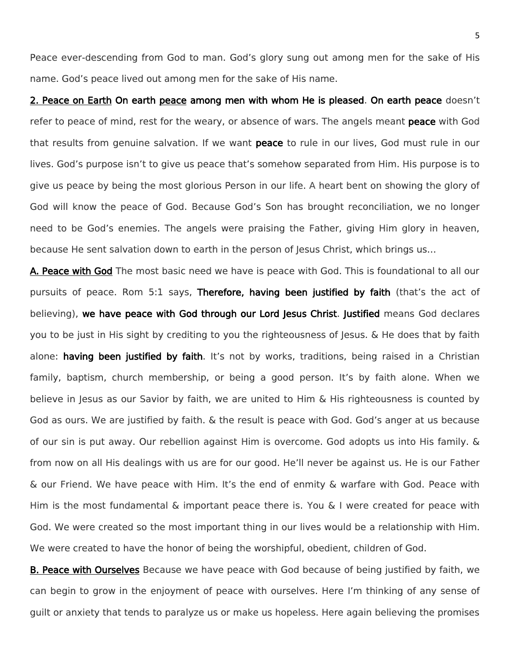Peace ever-descending from God to man. God's glory sung out among men for the sake of His name. God's peace lived out among men for the sake of His name.

2. Peace on Earth On earth peace among men with whom He is pleased. On earth peace doesn't refer to peace of mind, rest for the weary, or absence of wars. The angels meant **peace** with God that results from genuine salvation. If we want peace to rule in our lives, God must rule in our lives. God's purpose isn't to give us peace that's somehow separated from Him. His purpose is to give us peace by being the most glorious Person in our life. A heart bent on showing the glory of God will know the peace of God. Because God's Son has brought reconciliation, we no longer need to be God's enemies. The angels were praising the Father, giving Him glory in heaven, because He sent salvation down to earth in the person of lesus Christ, which brings us...

A. Peace with God The most basic need we have is peace with God. This is foundational to all our pursuits of peace. Rom 5:1 says, Therefore, having been justified by faith (that's the act of believing), we have peace with God through our Lord Jesus Christ. Justified means God declares you to be just in His sight by crediting to you the righteousness of Jesus. & He does that by faith alone: having been justified by faith. It's not by works, traditions, being raised in a Christian family, baptism, church membership, or being a good person. It's by faith alone. When we believe in Jesus as our Savior by faith, we are united to Him & His righteousness is counted by God as ours. We are justified by faith. & the result is peace with God. God's anger at us because of our sin is put away. Our rebellion against Him is overcome. God adopts us into His family. & from now on all His dealings with us are for our good. He'll never be against us. He is our Father & our Friend. We have peace with Him. It's the end of enmity & warfare with God. Peace with Him is the most fundamental & important peace there is. You & I were created for peace with God. We were created so the most important thing in our lives would be a relationship with Him. We were created to have the honor of being the worshipful, obedient, children of God.

**B. Peace with Ourselves** Because we have peace with God because of being justified by faith, we can begin to grow in the enjoyment of peace with ourselves. Here I'm thinking of any sense of guilt or anxiety that tends to paralyze us or make us hopeless. Here again believing the promises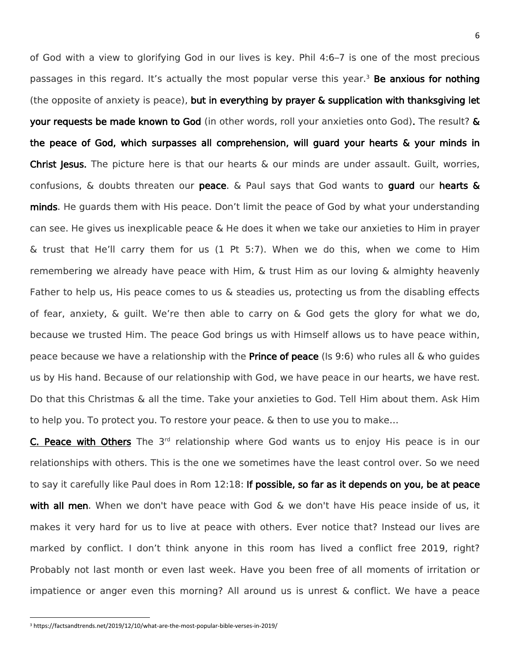of God with a view to glorifying God in our lives is key. Phil 4:6–7 is one of the most precious passages in this regard. It's actually the most popular verse this year.<sup>3</sup> Be anxious for nothing (the opposite of anxiety is peace), but in everything by prayer & supplication with thanksgiving let your requests be made known to God (in other words, roll your anxieties onto God). The result? & the peace of God, which surpasses all comprehension, will guard your hearts & your minds in Christ Jesus. The picture here is that our hearts & our minds are under assault. Guilt, worries, confusions,  $\&$  doubts threaten our peace.  $\&$  Paul says that God wants to quard our hearts  $\&$ minds. He guards them with His peace. Don't limit the peace of God by what your understanding can see. He gives us inexplicable peace & He does it when we take our anxieties to Him in prayer & trust that He'll carry them for us (1 Pt 5:7). When we do this, when we come to Him remembering we already have peace with Him, & trust Him as our loving & almighty heavenly Father to help us, His peace comes to us & steadies us, protecting us from the disabling effects of fear, anxiety,  $\&$  quilt. We're then able to carry on  $\&$  God gets the glory for what we do, because we trusted Him. The peace God brings us with Himself allows us to have peace within, peace because we have a relationship with the **Prince of peace** ( $\vert$ s 9:6) who rules all & who guides us by His hand. Because of our relationship with God, we have peace in our hearts, we have rest. Do that this Christmas & all the time. Take your anxieties to God. Tell Him about them. Ask Him to help you. To protect you. To restore your peace. & then to use you to make…

C. Peace with Others The 3<sup>rd</sup> relationship where God wants us to enjoy His peace is in our relationships with others. This is the one we sometimes have the least control over. So we need to say it carefully like Paul does in Rom 12:18: If possible, so far as it depends on you, be at peace with all men. When we don't have peace with God & we don't have His peace inside of us, it makes it very hard for us to live at peace with others. Ever notice that? Instead our lives are marked by conflict. I don't think anyone in this room has lived a conflict free 2019, right? Probably not last month or even last week. Have you been free of all moments of irritation or impatience or anger even this morning? All around us is unrest & conflict. We have a peace

 $\overline{\phantom{a}}$ 

<sup>3</sup> https://factsandtrends.net/2019/12/10/what-are-the-most-popular-bible-verses-in-2019/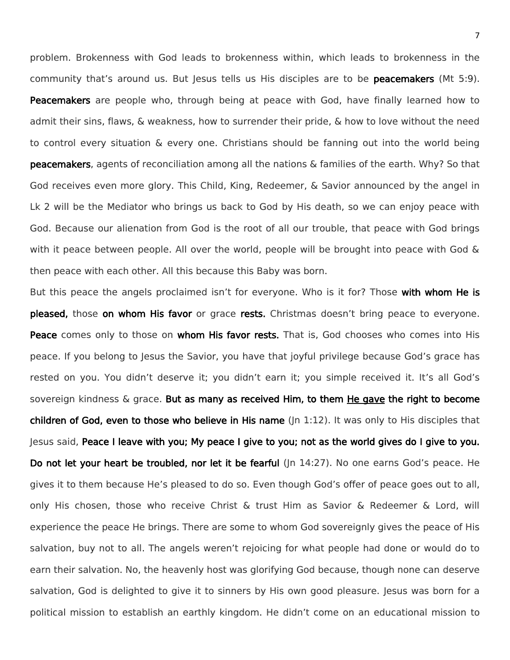problem. Brokenness with God leads to brokenness within, which leads to brokenness in the community that's around us. But lesus tells us His disciples are to be peacemakers (Mt 5:9). **Peacemakers** are people who, through being at peace with God, have finally learned how to admit their sins, flaws, & weakness, how to surrender their pride, & how to love without the need to control every situation & every one. Christians should be fanning out into the world being peacemakers, agents of reconciliation among all the nations & families of the earth. Why? So that God receives even more glory. This Child, King, Redeemer, & Savior announced by the angel in Lk 2 will be the Mediator who brings us back to God by His death, so we can enjoy peace with God. Because our alienation from God is the root of all our trouble, that peace with God brings with it peace between people. All over the world, people will be brought into peace with God & then peace with each other. All this because this Baby was born.

But this peace the angels proclaimed isn't for everyone. Who is it for? Those with whom He is pleased, those on whom His favor or grace rests. Christmas doesn't bring peace to everyone. Peace comes only to those on whom His favor rests. That is, God chooses who comes into His peace. If you belong to Jesus the Savior, you have that joyful privilege because God's grace has rested on you. You didn't deserve it; you didn't earn it; you simple received it. It's all God's sovereign kindness & grace. But as many as received Him, to them He gave the right to become children of God, even to those who believe in His name  $(\ln 1:12)$ . It was only to His disciples that Jesus said, Peace I leave with you; My peace I give to you; not as the world gives do I give to you. Do not let your heart be troubled, nor let it be fearful (Jn 14:27). No one earns God's peace. He gives it to them because He's pleased to do so. Even though God's offer of peace goes out to all, only His chosen, those who receive Christ & trust Him as Savior & Redeemer & Lord, will experience the peace He brings. There are some to whom God sovereignly gives the peace of His salvation, buy not to all. The angels weren't rejoicing for what people had done or would do to earn their salvation. No, the heavenly host was glorifying God because, though none can deserve salvation, God is delighted to give it to sinners by His own good pleasure. Jesus was born for a political mission to establish an earthly kingdom. He didn't come on an educational mission to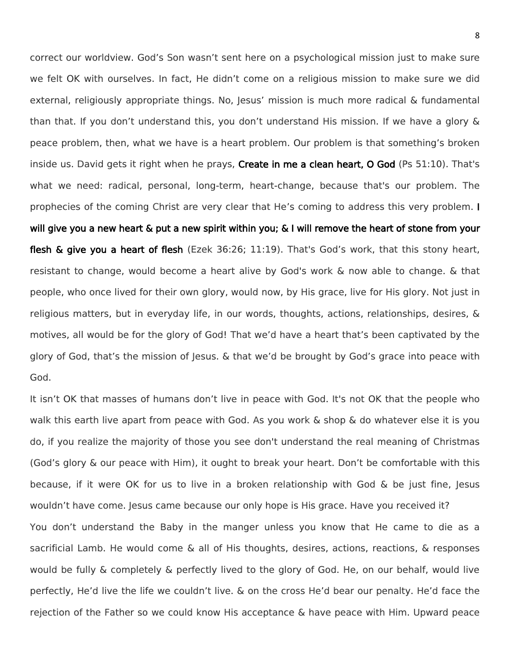correct our worldview. God's Son wasn't sent here on a psychological mission just to make sure we felt OK with ourselves. In fact, He didn't come on a religious mission to make sure we did external, religiously appropriate things. No, Jesus' mission is much more radical & fundamental than that. If you don't understand this, you don't understand His mission. If we have a glory & peace problem, then, what we have is a heart problem. Our problem is that something's broken inside us. David gets it right when he prays, Create in me a clean heart, O God (Ps 51:10). That's what we need: radical, personal, long-term, heart-change, because that's our problem. The prophecies of the coming Christ are very clear that He's coming to address this very problem. I will give you a new heart & put a new spirit within you; & I will remove the heart of stone from your flesh & give you a heart of flesh (Ezek 36:26; 11:19). That's God's work, that this stony heart, resistant to change, would become a heart alive by God's work & now able to change. & that people, who once lived for their own glory, would now, by His grace, live for His glory. Not just in religious matters, but in everyday life, in our words, thoughts, actions, relationships, desires, & motives, all would be for the glory of God! That we'd have a heart that's been captivated by the glory of God, that's the mission of Jesus. & that we'd be brought by God's grace into peace with God.

It isn't OK that masses of humans don't live in peace with God. It's not OK that the people who walk this earth live apart from peace with God. As you work & shop & do whatever else it is you do, if you realize the majority of those you see don't understand the real meaning of Christmas (God's glory & our peace with Him), it ought to break your heart. Don't be comfortable with this because, if it were OK for us to live in a broken relationship with God  $\&$  be just fine, Jesus wouldn't have come. Jesus came because our only hope is His grace. Have you received it? You don't understand the Baby in the manger unless you know that He came to die as a sacrificial Lamb. He would come & all of His thoughts, desires, actions, reactions, & responses would be fully & completely & perfectly lived to the glory of God. He, on our behalf, would live perfectly, He'd live the life we couldn't live. & on the cross He'd bear our penalty. He'd face the rejection of the Father so we could know His acceptance & have peace with Him. Upward peace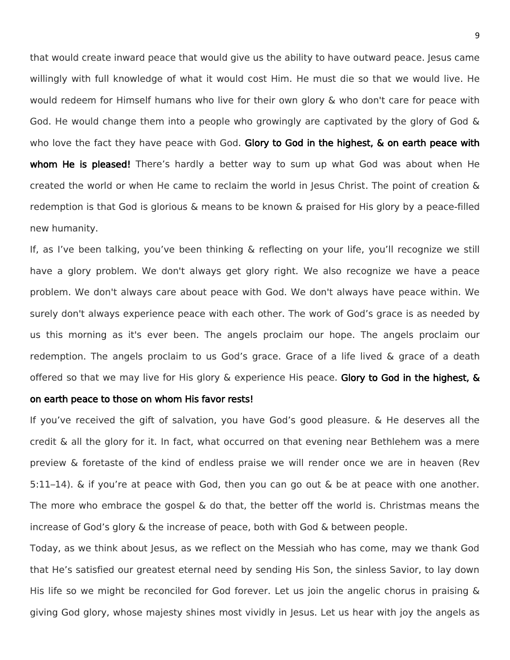that would create inward peace that would give us the ability to have outward peace. Jesus came willingly with full knowledge of what it would cost Him. He must die so that we would live. He would redeem for Himself humans who live for their own glory & who don't care for peace with God. He would change them into a people who growingly are captivated by the glory of God & who love the fact they have peace with God. Glory to God in the highest, & on earth peace with whom He is pleased! There's hardly a better way to sum up what God was about when He created the world or when He came to reclaim the world in Jesus Christ. The point of creation & redemption is that God is glorious & means to be known & praised for His glory by a peace-filled new humanity.

If, as I've been talking, you've been thinking & reflecting on your life, you'll recognize we still have a glory problem. We don't always get glory right. We also recognize we have a peace problem. We don't always care about peace with God. We don't always have peace within. We surely don't always experience peace with each other. The work of God's grace is as needed by us this morning as it's ever been. The angels proclaim our hope. The angels proclaim our redemption. The angels proclaim to us God's grace. Grace of a life lived & grace of a death offered so that we may live for His glory & experience His peace. Glory to God in the highest, &

## on earth peace to those on whom His favor rests!

If you've received the gift of salvation, you have God's good pleasure. & He deserves all the credit & all the glory for it. In fact, what occurred on that evening near Bethlehem was a mere preview & foretaste of the kind of endless praise we will render once we are in heaven (Rev 5:11–14). & if you're at peace with God, then you can go out & be at peace with one another. The more who embrace the gospel  $\&$  do that, the better off the world is. Christmas means the increase of God's glory & the increase of peace, both with God & between people.

Today, as we think about Jesus, as we reflect on the Messiah who has come, may we thank God that He's satisfied our greatest eternal need by sending His Son, the sinless Savior, to lay down His life so we might be reconciled for God forever. Let us join the angelic chorus in praising & giving God glory, whose majesty shines most vividly in Jesus. Let us hear with joy the angels as